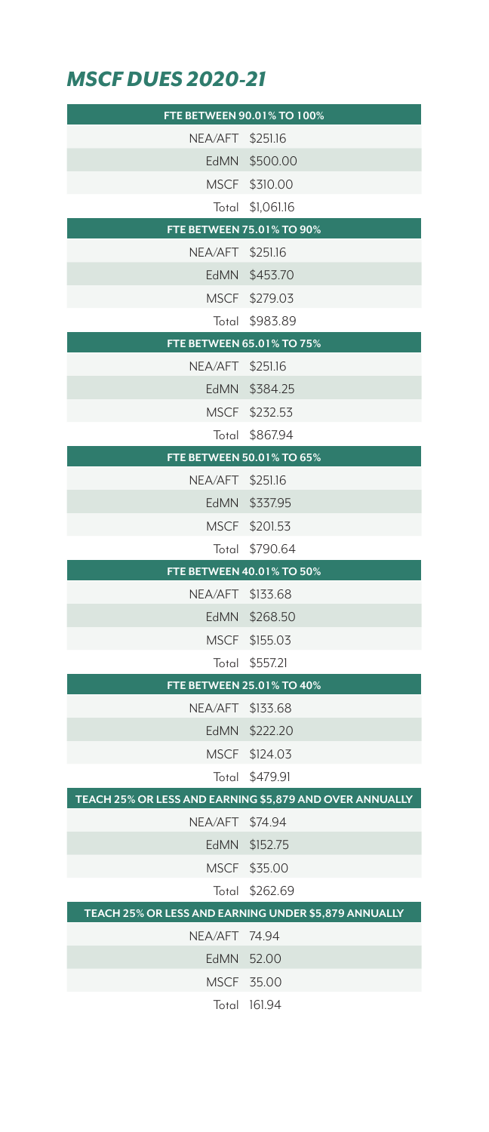## *MSCF DUES 2020-21*

|                  | FTE BETWEEN 90.01% TO 100%                              |
|------------------|---------------------------------------------------------|
| NEA/AFT \$251.16 |                                                         |
|                  | EdMN \$500.00                                           |
|                  | MSCF \$310.00                                           |
|                  | Total \$1,061.16                                        |
|                  | FTE BETWEEN 75.01% TO 90%                               |
| NEA/AFT \$251.16 |                                                         |
|                  | EdMN \$453.70                                           |
|                  | MSCF \$279.03                                           |
|                  | Total \$983.89                                          |
|                  | FTE BETWEEN 65.01% TO 75%                               |
| NEA/AFT \$251.16 |                                                         |
|                  | EdMN \$384.25                                           |
|                  | MSCF \$232.53                                           |
|                  | Total \$867.94                                          |
|                  | FTE BETWEEN 50.01% TO 65%                               |
| NEA/AFT \$251.16 |                                                         |
|                  | EdMN \$337.95                                           |
|                  | MSCF \$201.53                                           |
|                  | Total \$790.64                                          |
|                  |                                                         |
|                  | FTE BETWEEN 40.01% TO 50%                               |
| NEA/AFT \$133.68 |                                                         |
|                  | EdMN \$268.50                                           |
|                  | MSCF \$155.03                                           |
|                  | Total \$557.21                                          |
|                  | FTE BETWEEN 25.01% TO 40%                               |
| NEA/AFT \$133.68 |                                                         |
|                  | EdMN \$222.20                                           |
|                  | MSCF \$124.03                                           |
|                  | Total \$479.91                                          |
|                  | TEACH 25% OR LESS AND EARNING \$5,879 AND OVER ANNUALLY |
| NEA/AFT \$74.94  |                                                         |
|                  | EdMN \$152.75                                           |
|                  | MSCF \$35.00                                            |
|                  | Total \$262.69                                          |
| NEA/AFT 74.94    | TEACH 25% OR LESS AND EARNING UNDER \$5,879 ANNUALLY    |
|                  | EdMN 52.00                                              |
|                  | MSCF 35.00                                              |